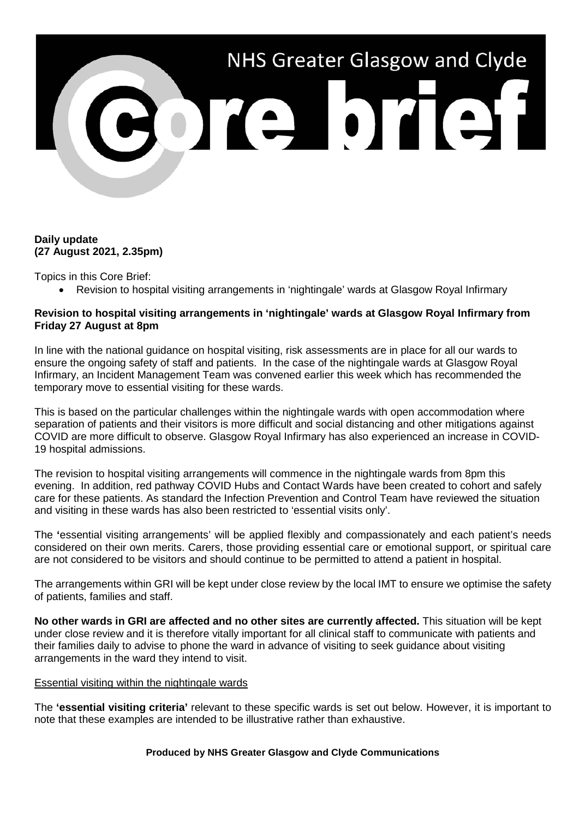# NHS Greater Glasgow and Clyde 301310131

# **Daily update (27 August 2021, 2.35pm)**

Topics in this Core Brief:

• Revision to hospital visiting arrangements in 'nightingale' wards at Glasgow Royal Infirmary

# **Revision to hospital visiting arrangements in 'nightingale' wards at Glasgow Royal Infirmary from Friday 27 August at 8pm**

In line with the national guidance on hospital visiting, risk assessments are in place for all our wards to ensure the ongoing safety of staff and patients. In the case of the nightingale wards at Glasgow Royal Infirmary, an Incident Management Team was convened earlier this week which has recommended the temporary move to essential visiting for these wards.

This is based on the particular challenges within the nightingale wards with open accommodation where separation of patients and their visitors is more difficult and social distancing and other mitigations against COVID are more difficult to observe. Glasgow Royal Infirmary has also experienced an increase in COVID-19 hospital admissions.

The revision to hospital visiting arrangements will commence in the nightingale wards from 8pm this evening. In addition, red pathway COVID Hubs and Contact Wards have been created to cohort and safely care for these patients. As standard the Infection Prevention and Control Team have reviewed the situation and visiting in these wards has also been restricted to 'essential visits only'.

The **'**essential visiting arrangements' will be applied flexibly and compassionately and each patient's needs considered on their own merits. Carers, those providing essential care or emotional support, or spiritual care are not considered to be visitors and should continue to be permitted to attend a patient in hospital.

The arrangements within GRI will be kept under close review by the local IMT to ensure we optimise the safety of patients, families and staff.

**No other wards in GRI are affected and no other sites are currently affected.** This situation will be kept under close review and it is therefore vitally important for all clinical staff to communicate with patients and their families daily to advise to phone the ward in advance of visiting to seek guidance about visiting arrangements in the ward they intend to visit.

### Essential visiting within the nightingale wards

The **'essential visiting criteria'** relevant to these specific wards is set out below. However, it is important to note that these examples are intended to be illustrative rather than exhaustive.

### **Produced by NHS Greater Glasgow and Clyde Communications**